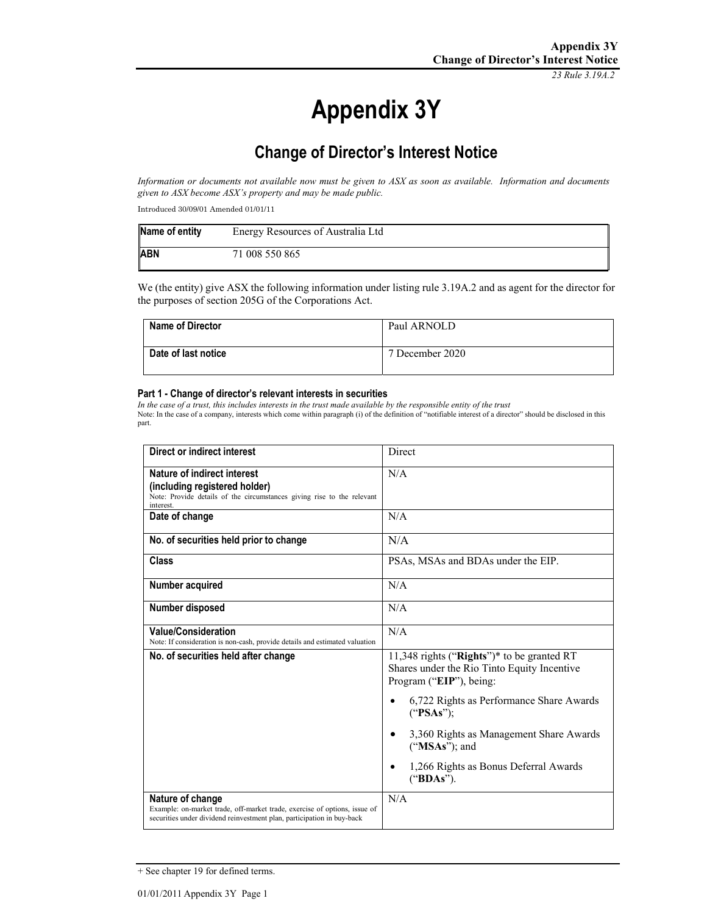*23 Rule 3.19A.2*

# **Appendix 3Y**

## **Change of Director's Interest Notice**

*Information or documents not available now must be given to ASX as soon as available. Information and documents given to ASX become ASX's property and may be made public.* 

Introduced 30/09/01 Amended 01/01/11

| Name of entity | Energy Resources of Australia Ltd |
|----------------|-----------------------------------|
| <b>ABN</b>     | 71 008 550 865                    |

We (the entity) give ASX the following information under listing rule 3.19A.2 and as agent for the director for the purposes of section 205G of the Corporations Act.

| <b>Name of Director</b> | Paul ARNOLD     |
|-------------------------|-----------------|
| Date of last notice     | 7 December 2020 |

#### **Part 1 - Change of director's relevant interests in securities**

*In the case of a trust, this includes interests in the trust made available by the responsible entity of the trust*  Note: In the case of a company, interests which come within paragraph (i) of the definition of "notifiable interest of a director" should be disclosed in this part.

| Direct or indirect interest                                                                                                                                             | Direct                                                                                                               |
|-------------------------------------------------------------------------------------------------------------------------------------------------------------------------|----------------------------------------------------------------------------------------------------------------------|
| Nature of indirect interest<br>(including registered holder)<br>Note: Provide details of the circumstances giving rise to the relevant<br>interest.                     | N/A                                                                                                                  |
| Date of change                                                                                                                                                          | N/A                                                                                                                  |
| No. of securities held prior to change                                                                                                                                  | N/A                                                                                                                  |
| Class                                                                                                                                                                   | PSAs, MSAs and BDAs under the EIP.                                                                                   |
| Number acquired                                                                                                                                                         | N/A                                                                                                                  |
| <b>Number disposed</b>                                                                                                                                                  | N/A                                                                                                                  |
| <b>Value/Consideration</b><br>Note: If consideration is non-cash, provide details and estimated valuation                                                               | N/A                                                                                                                  |
| No. of securities held after change                                                                                                                                     | 11,348 rights ("Rights")* to be granted RT<br>Shares under the Rio Tinto Equity Incentive<br>Program ("EIP"), being: |
|                                                                                                                                                                         | 6,722 Rights as Performance Share Awards<br>("PSAs")                                                                 |
|                                                                                                                                                                         | 3,360 Rights as Management Share Awards<br>("MSAs"); and                                                             |
|                                                                                                                                                                         | 1,266 Rights as Bonus Deferral Awards<br>("BDAs").                                                                   |
| Nature of change<br>Example: on-market trade, off-market trade, exercise of options, issue of<br>securities under dividend reinvestment plan, participation in buy-back | N/A                                                                                                                  |

<sup>+</sup> See chapter 19 for defined terms.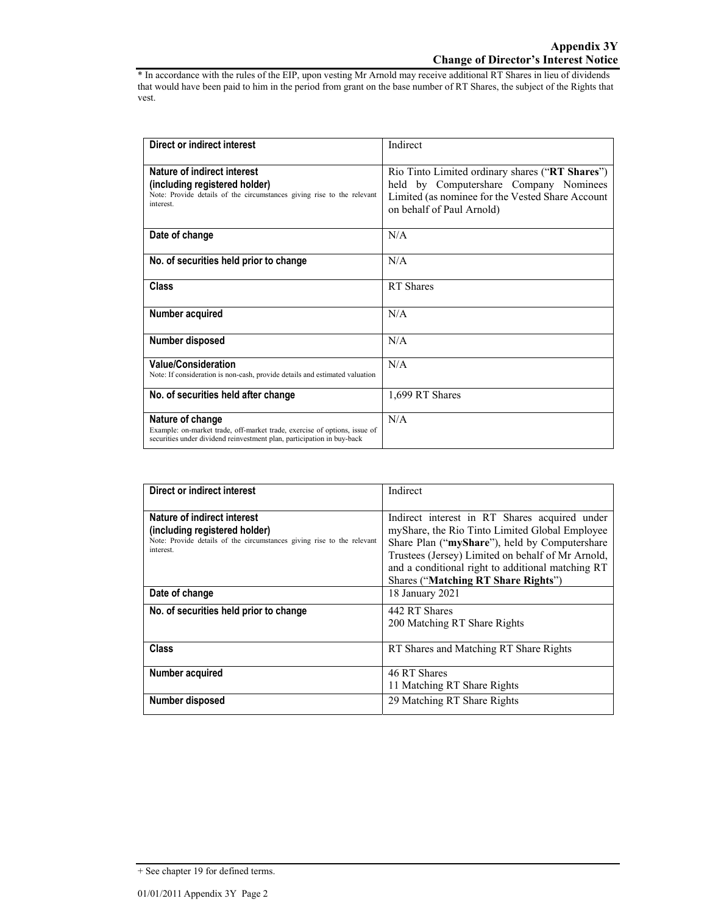\* In accordance with the rules of the EIP, upon vesting Mr Arnold may receive additional RT Shares in lieu of dividends that would have been paid to him in the period from grant on the base number of RT Shares, the subject of the Rights that vest.

| Direct or indirect interest                                                                                                                                             | Indirect                                                                                                                                                                   |
|-------------------------------------------------------------------------------------------------------------------------------------------------------------------------|----------------------------------------------------------------------------------------------------------------------------------------------------------------------------|
| Nature of indirect interest<br>(including registered holder)<br>Note: Provide details of the circumstances giving rise to the relevant<br>interest.                     | Rio Tinto Limited ordinary shares ("RT Shares")<br>held by Computershare Company Nominees<br>Limited (as nominee for the Vested Share Account<br>on behalf of Paul Arnold) |
| Date of change                                                                                                                                                          | N/A                                                                                                                                                                        |
| No. of securities held prior to change                                                                                                                                  | N/A                                                                                                                                                                        |
| <b>Class</b>                                                                                                                                                            | RT Shares                                                                                                                                                                  |
| Number acquired                                                                                                                                                         | N/A                                                                                                                                                                        |
| Number disposed                                                                                                                                                         | N/A                                                                                                                                                                        |
| <b>Value/Consideration</b><br>Note: If consideration is non-cash, provide details and estimated valuation                                                               | N/A                                                                                                                                                                        |
| No. of securities held after change                                                                                                                                     | 1,699 RT Shares                                                                                                                                                            |
| Nature of change<br>Example: on-market trade, off-market trade, exercise of options, issue of<br>securities under dividend reinvestment plan, participation in buy-back | N/A                                                                                                                                                                        |

| Direct or indirect interest                                                                                                                         | Indirect                                                                                                                                                                                                                                                                                          |
|-----------------------------------------------------------------------------------------------------------------------------------------------------|---------------------------------------------------------------------------------------------------------------------------------------------------------------------------------------------------------------------------------------------------------------------------------------------------|
| Nature of indirect interest<br>(including registered holder)<br>Note: Provide details of the circumstances giving rise to the relevant<br>interest. | Indirect interest in RT Shares acquired under<br>myShare, the Rio Tinto Limited Global Employee<br>Share Plan ("myShare"), held by Computershare<br>Trustees (Jersey) Limited on behalf of Mr Arnold,<br>and a conditional right to additional matching RT<br>Shares ("Matching RT Share Rights") |
| Date of change                                                                                                                                      | 18 January 2021                                                                                                                                                                                                                                                                                   |
| No. of securities held prior to change                                                                                                              | 442 RT Shares<br>200 Matching RT Share Rights                                                                                                                                                                                                                                                     |
| Class                                                                                                                                               | RT Shares and Matching RT Share Rights                                                                                                                                                                                                                                                            |
| Number acquired                                                                                                                                     | 46 RT Shares<br>11 Matching RT Share Rights                                                                                                                                                                                                                                                       |
| Number disposed                                                                                                                                     | 29 Matching RT Share Rights                                                                                                                                                                                                                                                                       |

<sup>+</sup> See chapter 19 for defined terms.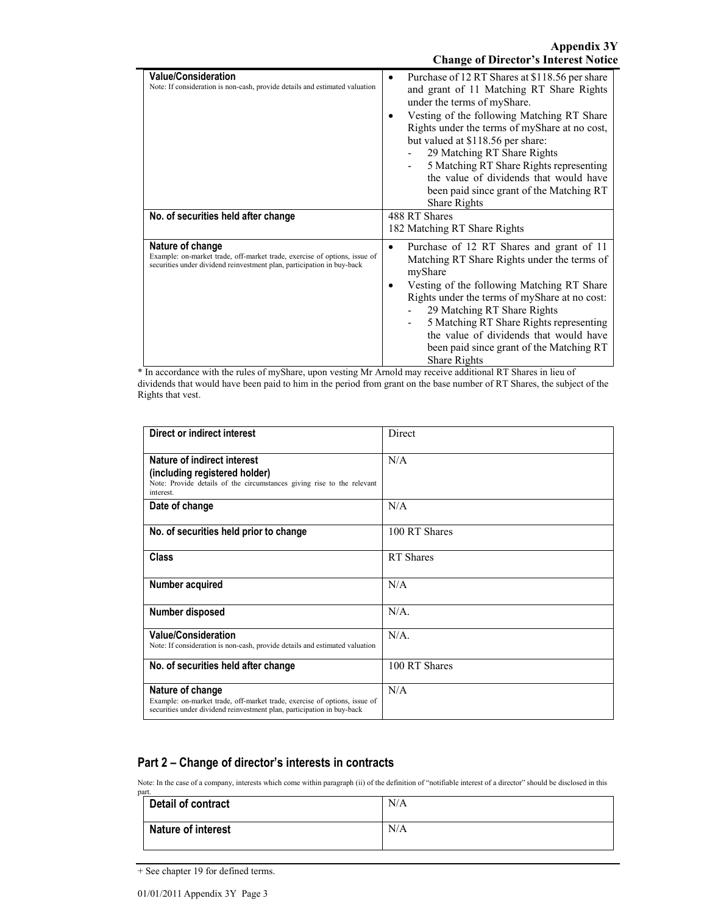| <b>Value/Consideration</b><br>Note: If consideration is non-cash, provide details and estimated valuation                                                               | Purchase of 12 RT Shares at \$118.56 per share<br>٠<br>and grant of 11 Matching RT Share Rights<br>under the terms of myShare.<br>Vesting of the following Matching RT Share<br>Rights under the terms of myShare at no cost,<br>but valued at \$118.56 per share:<br>29 Matching RT Share Rights<br>5 Matching RT Share Rights representing<br>the value of dividends that would have<br>been paid since grant of the Matching RT<br><b>Share Rights</b> |
|-------------------------------------------------------------------------------------------------------------------------------------------------------------------------|-----------------------------------------------------------------------------------------------------------------------------------------------------------------------------------------------------------------------------------------------------------------------------------------------------------------------------------------------------------------------------------------------------------------------------------------------------------|
| No. of securities held after change                                                                                                                                     | 488 RT Shares<br>182 Matching RT Share Rights                                                                                                                                                                                                                                                                                                                                                                                                             |
| Nature of change<br>Example: on-market trade, off-market trade, exercise of options, issue of<br>securities under dividend reinvestment plan, participation in buy-back | Purchase of 12 RT Shares and grant of 11<br>Matching RT Share Rights under the terms of<br>myShare<br>Vesting of the following Matching RT Share<br>Rights under the terms of myShare at no cost:<br>29 Matching RT Share Rights<br>5 Matching RT Share Rights representing<br>the value of dividends that would have<br>been paid since grant of the Matching RT<br>Share Rights                                                                         |

\* In accordance with the rules of myShare, upon vesting Mr Arnold may receive additional RT Shares in lieu of dividends that would have been paid to him in the period from grant on the base number of RT Shares, the subject of the Rights that vest.

| Direct or indirect interest                                                                                                                                             | Direct        |
|-------------------------------------------------------------------------------------------------------------------------------------------------------------------------|---------------|
| Nature of indirect interest<br>(including registered holder)<br>Note: Provide details of the circumstances giving rise to the relevant<br>interest.                     | N/A           |
| Date of change                                                                                                                                                          | N/A           |
| No. of securities held prior to change                                                                                                                                  | 100 RT Shares |
| <b>Class</b>                                                                                                                                                            | RT Shares     |
| Number acquired                                                                                                                                                         | N/A           |
| Number disposed                                                                                                                                                         | $N/A$ .       |
| <b>Value/Consideration</b><br>Note: If consideration is non-cash, provide details and estimated valuation                                                               | $N/A$ .       |
| No. of securities held after change                                                                                                                                     | 100 RT Shares |
| Nature of change<br>Example: on-market trade, off-market trade, exercise of options, issue of<br>securities under dividend reinvestment plan, participation in buy-back | N/A           |

### **Part 2 – Change of director's interests in contracts**

Note: In the case of a company, interests which come within paragraph (ii) of the definition of "notifiable interest of a director" should be disclosed in this

| part.                     |     |
|---------------------------|-----|
| Detail of contract        | N/A |
| <b>Nature of interest</b> | N/A |

<sup>+</sup> See chapter 19 for defined terms.